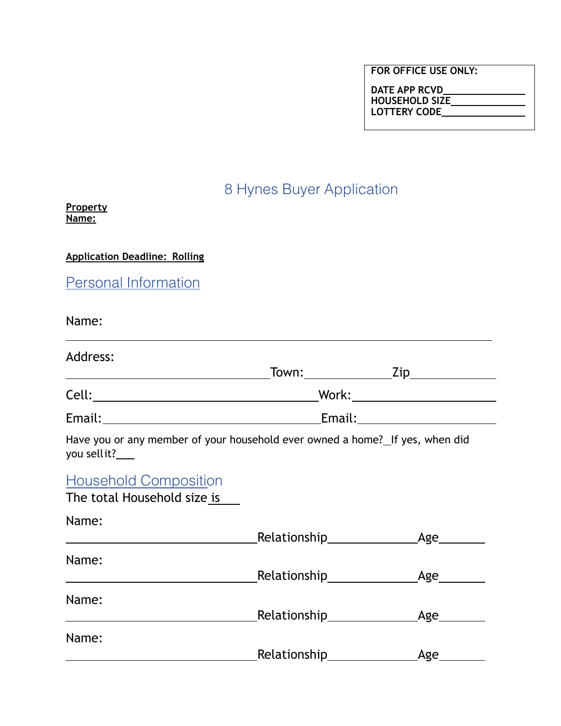| DATE APP RCVD         |  |
|-----------------------|--|
| <b>HOUSEHOLD SIZE</b> |  |
| <b>LOTTERY CODE</b>   |  |

# 8 Hynes Buyer Application

**Property Name:**

**Application Deadline: Rolling**

Personal Information

Name:

| Address:                                                                                                                     |                                            |
|------------------------------------------------------------------------------------------------------------------------------|--------------------------------------------|
|                                                                                                                              | _Town:___________________Zip______________ |
|                                                                                                                              |                                            |
|                                                                                                                              |                                            |
| Have you or any member of your household ever owned a home? If yes, when did<br>you sellit?___                               |                                            |
| <b>Household Composition</b><br>The total Household size is                                                                  |                                            |
| Name:                                                                                                                        |                                            |
| Name:<br><u> 1989 - Johann Stein, mars an de Frankrik en fan de Frankrik fan de Frankrik fan de Frankrik fan de Frankrik</u> |                                            |
| Name:                                                                                                                        |                                            |
| Name:                                                                                                                        |                                            |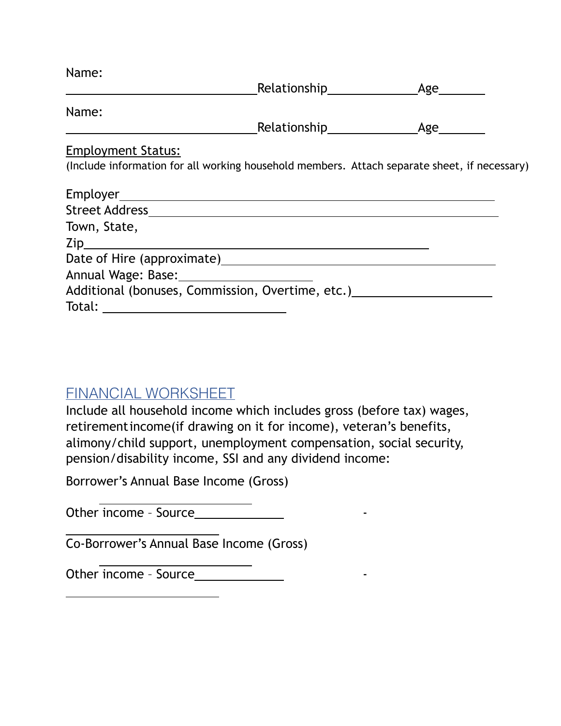| Name:                                                                                        |  |
|----------------------------------------------------------------------------------------------|--|
|                                                                                              |  |
| Name:                                                                                        |  |
|                                                                                              |  |
| <b>Employment Status:</b>                                                                    |  |
| (Include information for all working household members. Attach separate sheet, if necessary) |  |
|                                                                                              |  |
|                                                                                              |  |
| Town, State,                                                                                 |  |
|                                                                                              |  |
|                                                                                              |  |
|                                                                                              |  |
| Additional (bonuses, Commission, Overtime, etc.)                                             |  |
|                                                                                              |  |

## FINANCIAL WORKSHEET

Include all household income which includes gross (before tax) wages, retirementincome(if drawing on it for income), veteran's benefits, alimony/child support, unemployment compensation, social security, pension/disability income, SSI and any dividend income:

Borrower's Annual Base Income (Gross)

Other income – Source -

Co-Borrower's Annual Base Income (Gross)

Other income - Source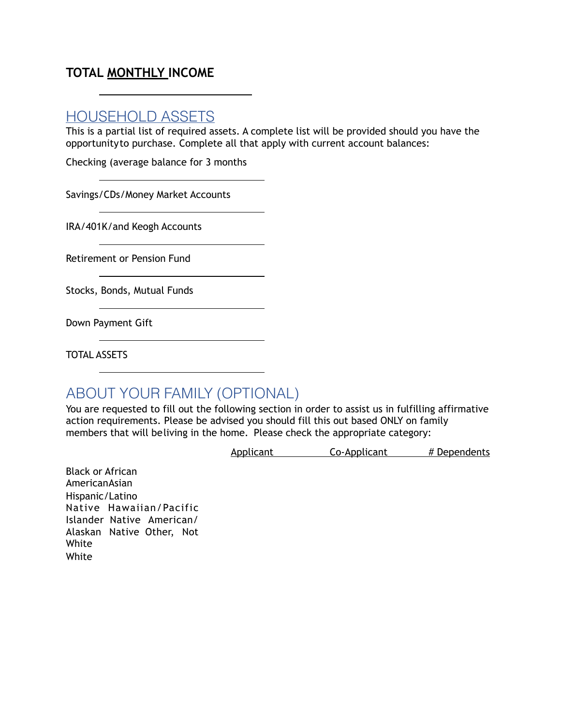## **TOTAL MONTHLY INCOME**

## HOUSEHOLD ASSETS

This is a partial list of required assets. A complete list will be provided should you have the opportunityto purchase. Complete all that apply with current account balances:

Checking (average balance for 3 months

Savings/CDs/Money Market Accounts

IRA/401K/and Keogh Accounts

Retirement or Pension Fund

Stocks, Bonds, Mutual Funds

Down Payment Gift

TOTAL ASSETS

## ABOUT YOUR FAMILY (OPTIONAL)

You are requested to fill out the following section in order to assist us in fulfilling affirmative action requirements. Please be advised you should fill this out based ONLY on family members that will beliving in the home. Please check the appropriate category:

Applicant Co-Applicant # Dependents

Black or African AmericanAsian Hispanic/Latino Native Hawaiian/Pacific Islander Native American/ Alaskan Native Other, Not White White